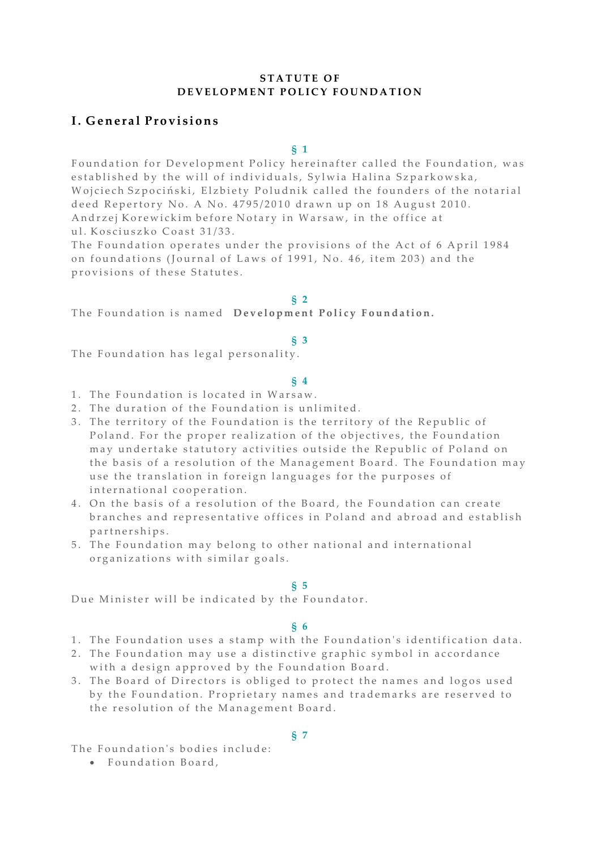# **S T A T U T E O F DEVELOPMENT POLICY FOUNDATION**

# **I . G e n e r a l P r o v i s i o n s**

**§ 1**

Foundation for Development Policy hereinafter called the Foundation, was established by the will of individuals, Sylwia Halina Szparkowska, Wojciech Szpociński, Elzbiety Poludnik called the founders of the notarial deed Repertory No. A No. 4795/2010 drawn up on 18 August 2010. Andrzej Korewickim before Notary in Warsaw, in the office at ul. Kosciuszko Coast 31/33.

The Foundation operates under the provisions of the Act of 6 April 1984 on foundations (Journal of Laws of 1991, No. 46, item 203) and the provisions of these Statutes.

#### **§ 2**

The Foundation is named Development Policy Foundation.

#### **§ 3**

The Foundation has legal personality.

#### **§ 4**

- 1. The Foundation is located in Warsaw.
- 2. The duration of the Foundation is unlimited.
- 3. The territory of the Foundation is the territory of the Republic of Poland. For the proper realization of the objectives, the Foundation may undertake statutory activities outside the Republic of Poland on the basis of a resolution of the Management Board. The Foundation may use the translation in foreign languages for the purposes of international cooperation.
- 4. On the basis of a resolution of the Board, the Foundation can create branches and representative offices in Poland and abroad and establish p ar t n er ships.
- 5. The Foundation may belong to other national and international organizations with similar goals.

#### **§ 5**

Due Minister will be indicated by the Foundator.

#### **§ 6**

- 1. The Foundation uses a stamp with the Foundation's identification data.
- 2. The Foundation may use a distinctive graphic symbol in accordance with a design approved by the Foundation Board.
- 3. The Board of Directors is obliged to protect the names and logos used by the Foundation. Proprietary names and trademarks are reserved to the resolution of the Management Board.

# **§ 7**

The Foundation's bodies include:

· Foundation Board,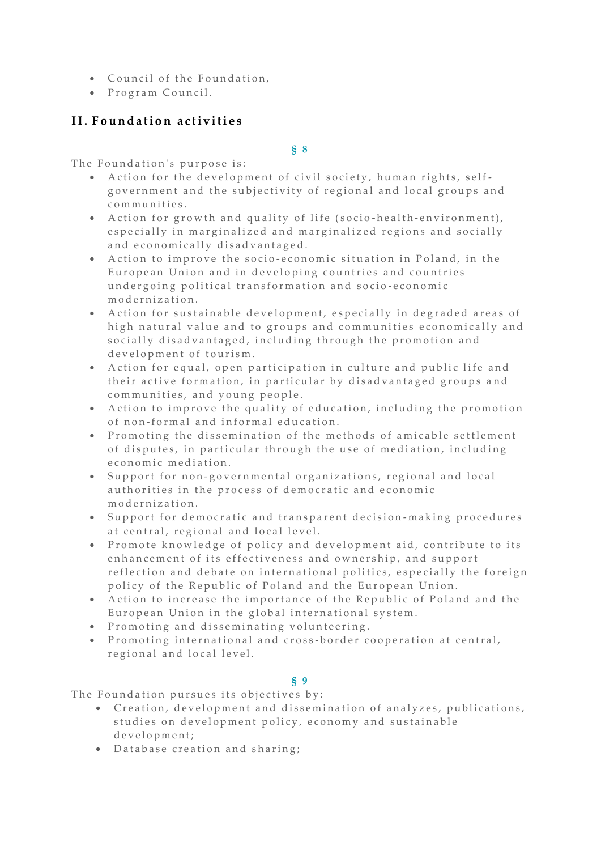- Council of the Foundation,
- Program Council.

# **I I . F o u n d a t i o n a c t i v i t i e s**

**§ 8**

The Foundation's purpose is:

- Action for the development of civil society, human rights, selfgovernment and the subjectivity of regional and local groups and communities.
- Action for growth and quality of life (socio-health-environment), especially in marginalized and marginalized regions and socially and economically disadvantaged.
- Action to improve the socio-economic situation in Poland, in the European Union and in developing countries and countries undergoing political transformation and socio-economic m od ernization.
- Action for sustainable development, especially in degraded areas of high natural value and to groups and communities economically and socially disadvantaged, including through the promotion and development of tourism.
- Action for equal, open participation in culture and public life and their active formation, in particular by disadvantaged groups and communities, and young people.
- Action to improve the quality of education, including the promotion of non-formal and informal education.
- Promoting the dissemination of the methods of amicable settlement of disputes, in particular through the use of mediation, including e conomic mediation.
- Support for non-governmental organizations, regional and local authorities in the process of democratic and economic m o d e r n i z a tion.
- Support for democratic and transparent decision-making procedures at central, regional and local level.
- Promote knowledge of policy and development aid, contribute to its enhancement of its effectiveness and ownership, and support reflection and debate on international politics, especially the foreign policy of the Republic of Poland and the European Union.
- Action to increase the importance of the Republic of Poland and the European Union in the global international system.
- Promoting and disseminating volunteering.
- Promoting international and cross-border cooperation at central, regional and local level.

# **§ 9**

The Foundation pursues its objectives by:

- Creation, development and dissemination of analyzes, publications, studies on development policy, economy and sustainable d e v e l o p m e n t;
- $\bullet$  Database creation and sharing;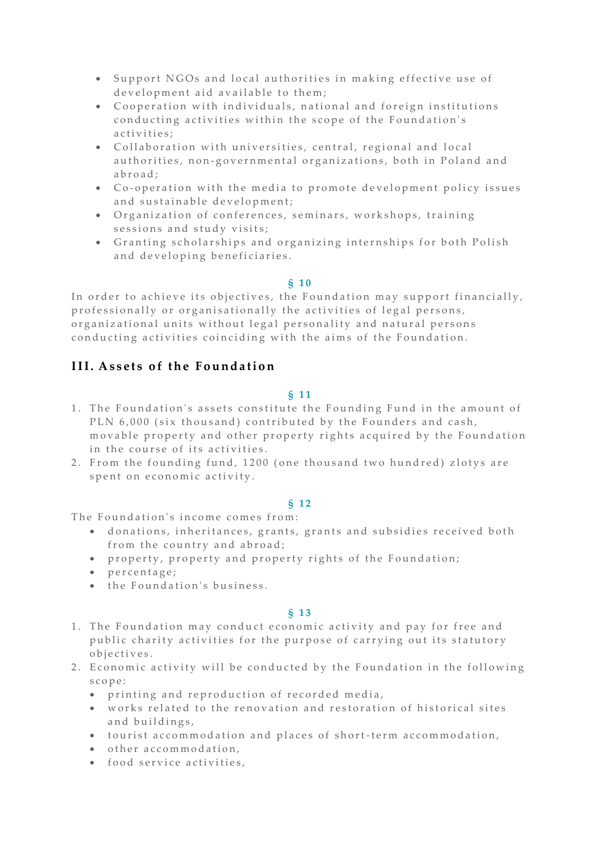- Support NGOs and local authorities in making effective use of development aid available to them;
- Cooperation with individuals, national and foreign institutions conducting activities within the scope of the Foundation's a c ti vities:
- Collaboration with universities, central, regional and local authorities, non-governmental organizations, both in Poland and a b r o a d;
- Co-operation with the media to promote development policy issues and sustainable development;
- Organization of conferences, seminars, workshops, training sessions and study visits:
- Granting scholarships and organizing internships for both Polish and developing beneficiaries.

### **§ 1 0**

In order to achieve its objectives, the Foundation may support financially, professionally or organisationally the activities of legal persons, organizational units without legal personality and natural persons conducting activities coinciding with the aims of the Foundation.

# **III.** Assets of the Foundation

# **§ 1 1**

- 1. The Foundation's assets constitute the Founding Fund in the amount of PLN 6,000 (six thousand) contributed by the Founders and cash, movable property and other property rights acquired by the Foundation in the course of its activities.
- 2. From the founding fund, 1200 (one thousand two hundred) zlotys are spent on economic activity.

# **§ 1 2**

The Foundation's income comes from:

- $\bullet$  donations, inheritances, grants, grants and subsidies received both from the country and abroad;
- property, property and property rights of the Foundation;
- $\bullet$  percentage;
- $\bullet$  the Foundation's business.

# **§ 1 3**

- 1. The Foundation may conduct economic activity and pay for free and public charity activities for the purpose of carrying out its statutory o b j e c t i v e s.
- 2. Economic activity will be conducted by the Foundation in the following s c o p e :
	- printing and reproduction of recorded media,
	- works related to the renovation and restoration of historical sites and buildings,
	- $\bullet$  tourist accommodation and places of short-term accommodation,
	- $\bullet$  other accommodation,
	- food service activities,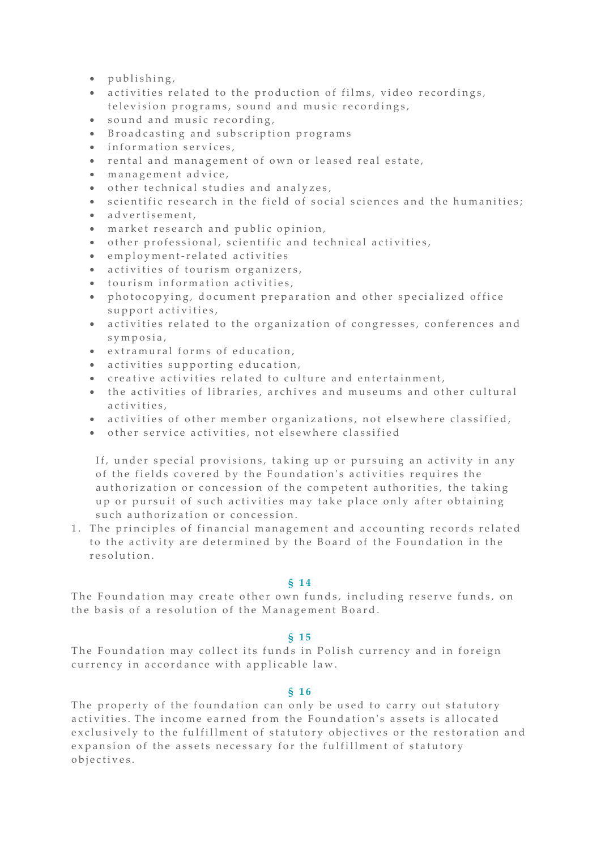- $\bullet$  publishing,
- activities related to the production of films, video recordings, television programs, sound and music recordings,
- sound and music recording,
- **Broadcasting and subscription programs**
- $\bullet$  information services,
- rental and management of own or leased real estate,
- $\bullet$  management advice,
- $\bullet$  other technical studies and analyzes,
- scientific research in the field of social sciences and the humanities;
- a d v e r t i s e m e n t,
- $\bullet$  market research and public opinion,
- $\bullet$  other professional, scientific and technical activities,
- $\bullet$  employment-related activities
- activities of tourism organizers,
- $\bullet$  tourism information activities,
- photocopying, document preparation and other specialized office support activities,
- activities related to the organization of congresses, conferences and s y m p o s i a ,
- extramural forms of education,
- activities supporting education,
- creative activities related to culture and entertainment,
- the activities of libraries, archives and museums and other cultural activities.
- activities of other member organizations, not elsewhere classified,
- $\bullet$  other service activities, not elsewhere classified

If, under special provisions, taking up or pursuing an activity in any of the fields covered by the Foundation's activities requires the au thorization or concession of the competent authorities, the taking up or pursuit of such activities may take place only after obtaining such authorization or concession.

1. The principles of financial management and accounting records related to the activity are determined by the Board of the Foundation in the r e solution.

### **§ 1 4**

The Foundation may create other own funds, including reserve funds, on the basis of a resolution of the Management Board.

### **§ 1 5**

The Foundation may collect its funds in Polish currency and in foreign currency in accordance with applicable law.

### **§ 1 6**

The property of the foundation can only be used to carry out statutory activities. The income earned from the Foundation's assets is allocated exclusively to the fulfillment of statutory objectives or the restoration and expansion of the assets necessary for the fulfillment of statutory o biectives.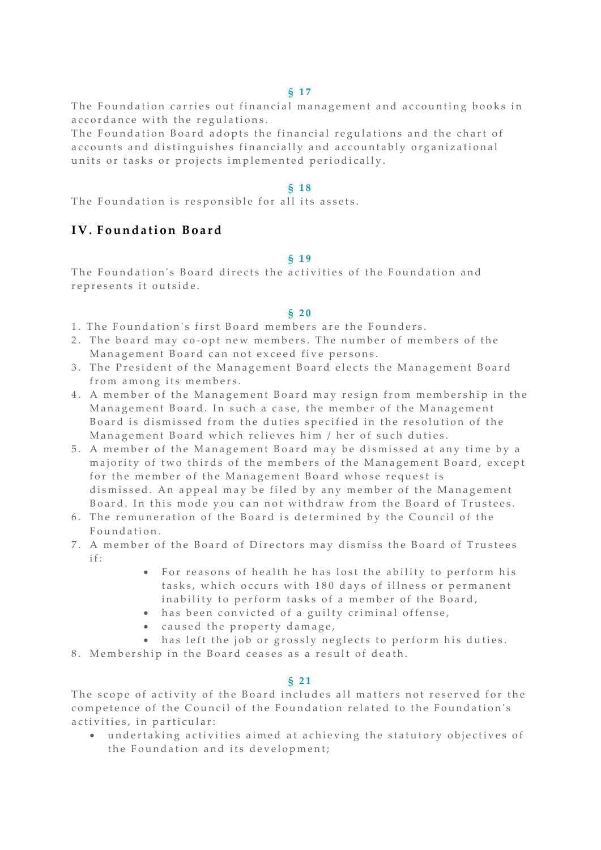#### **§ 1 7**

The Foundation carries out financial management and accounting books in accordance with the regulations.

The Foundation Board adopts the financial regulations and the chart of accounts and distinguishes financially and accountably organizational units or tasks or projects implemented periodically.

### **§ 1 8**

The Foundation is responsible for all its assets.

# **I V . F o u n d a t i o n B o a r d**

#### **§ 1 9**

The Foundation's Board directs the activities of the Foundation and represents it outside.

#### **§ 2 0**

- 1. The Foundation's first Board members are the Founders.
- 2. The board may co-opt new members. The number of members of the Management Board can not exceed five persons.
- 3. The President of the Management Board elects the Management Board from among its members.
- 4. A member of the Management Board may resign from membership in the Management Board. In such a case, the member of the Management Board is dismissed from the duties specified in the resolution of the Management Board which relieves him / her of such duties.
- 5. A member of the Management Board may be dismissed at any time by a majority of two thirds of the members of the Management Board, except for the member of the Management Board whose request is dismissed. An appeal may be filed by any member of the Management Board. In this mode you can not withdraw from the Board of Trustees.
- 6. The remuneration of the Board is determined by the Council of the Foundation.
- 7. A member of the Board of Directors may dismiss the Board of Trustees if:
	- For reasons of health he has lost the ability to perform his tasks, which occurs with 180 days of illness or permanent inability to perform tasks of a member of the Board,
	- has been convicted of a guilty criminal offense,
	- caused the property damage,
	- has left the job or grossly neglects to perform his duties.

8. Membership in the Board ceases as a result of death.

#### **§ 2 1**

The scope of activity of the Board includes all matters not reserved for the competence of the Council of the Foundation related to the Foundation's activities, in particular:

• undertaking activities aimed at achieving the statutory objectives of the Foundation and its development;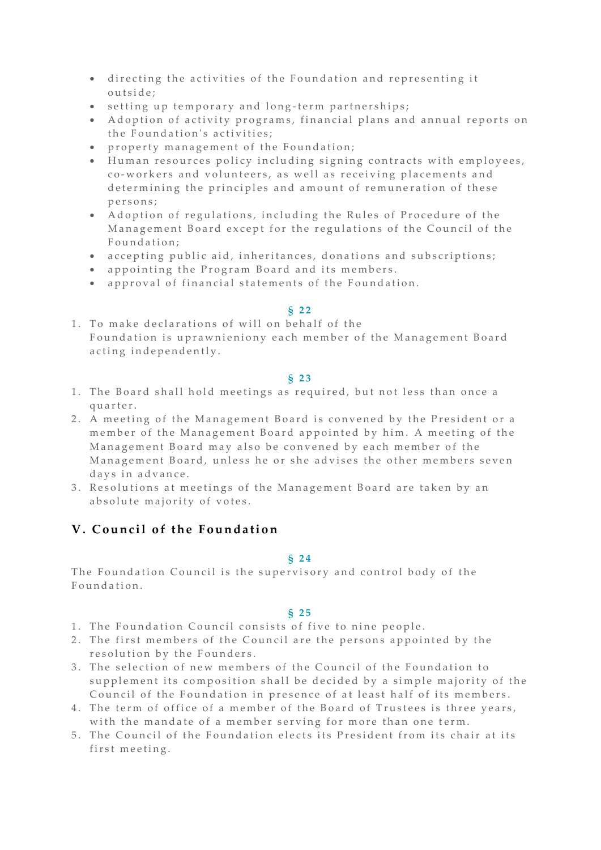- directing the activities of the Foundation and representing it outside:
- setting up temporary and long-term partnerships;
- Adoption of activity programs, financial plans and annual reports on the Foundation's activities:
- property management of the Foundation;
- $\bullet$  Human resources policy including signing contracts with employees, co-workers and volunteers, as well as receiving placements and determining the principles and amount of remuneration of these p e r s o n s ;
- Adoption of regulations, including the Rules of Procedure of the Management Board except for the regulations of the Council of the Foundation:
- accepting public aid, inheritances, donations and subscriptions;
- appointing the Program Board and its members.
- approval of financial statements of the Foundation.

### **§ 2 2**

1. To make declarations of will on behalf of the Foundation is uprawnieniony each member of the Management Board acting independently.

### **§ 2 3**

- 1. The Board shall hold meetings as required, but not less than once a quarter.
- 2. A meeting of the Management Board is convened by the President or a member of the Management Board appointed by him. A meeting of the Management Board may also be convened by each member of the Management Board, unless he or she advises the other members seven days in advance.
- 3. Resolutions at meetings of the Management Board are taken by an absolute majority of votes.

# **V.** Council of the Foundation

### **§ 2 4**

The Foundation Council is the supervisory and control body of the F o u n d a t i o n .

### **§ 2 5**

- 1. The Foundation Council consists of five to nine people.
- 2. The first members of the Council are the persons appointed by the resolution by the Founders.
- 3. The selection of new members of the Council of the Foundation to supplement its composition shall be decided by a simple majority of the Council of the Foundation in presence of at least half of its members.
- 4. The term of office of a member of the Board of Trustees is three years, with the mandate of a member serving for more than one term.
- 5. The Council of the Foundation elects its President from its chair at its first meeting.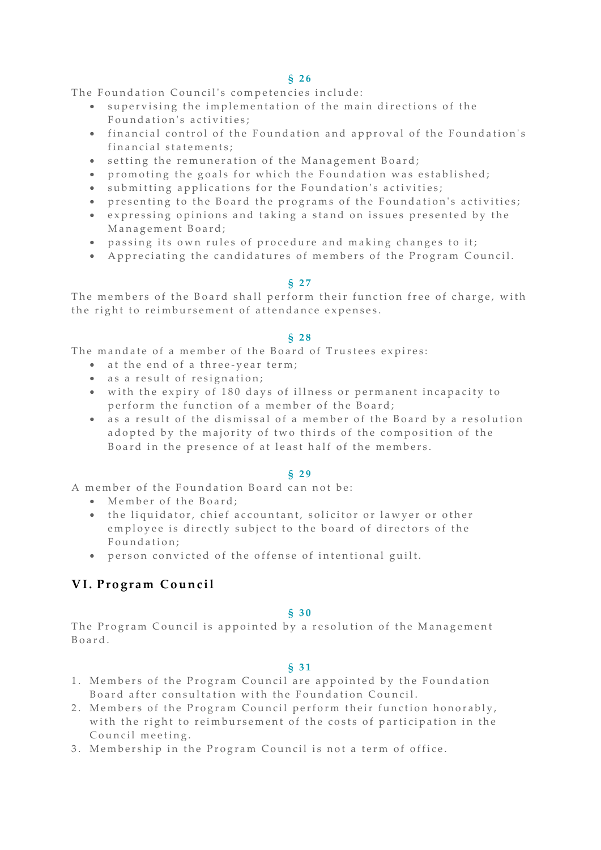The Foundation Council's competencies include:

- supervising the implementation of the main directions of the Foundation's activities:
- financial control of the Foundation and approval of the Foundation's financial statements;
- setting the remuneration of the Management Board;
- promoting the goals for which the Foundation was established;
- submitting applications for the Foundation's activities;
- presenting to the Board the programs of the Foundation's activities;
- expressing opinions and taking a stand on issues presented by the Management Board:
- passing its own rules of procedure and making changes to it;
- A ppreciating the candidatures of members of the Program Council.

### **§ 2 7**

The members of the Board shall perform their function free of charge, with the right to reimbursement of attendance expenses.

#### **§ 2 8**

The mandate of a member of the Board of Trustees expires:

- at the end of a three-year term;
- as a result of resignation;
- with the expiry of 180 days of illness or permanent incapacity to perform the function of a member of the Board:
- as a result of the dismissal of a member of the Board by a resolution adopted by the majority of two thirds of the composition of the Board in the presence of at least half of the members.

#### **§ 2 9**

A member of the Foundation Board can not be:

- Member of the Board:
- the liquidator, chief accountant, solicitor or lawyer or other employee is directly subject to the board of directors of the Foundation;
- person convicted of the offense of intentional guilt.

# **V I . P r o g r a m C o u n c i l**

#### **§ 3 0**

The Program Council is appointed by a resolution of the Management B o a r d .

#### **§ 3 1**

- 1. Members of the Program Council are appointed by the Foundation Board after consultation with the Foundation Council.
- 2. Members of the Program Council perform their function honorably, with the right to reimbursement of the costs of participation in the Council meeting.
- 3. Membership in the Program Council is not a term of office.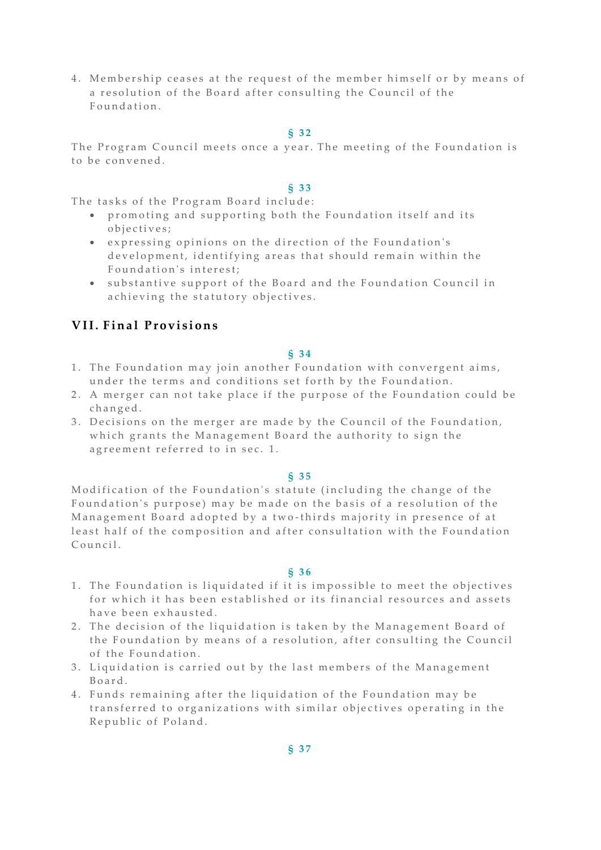4. Membership ceases at the request of the member himself or by means of a resolution of the Board after consulting the Council of the Foundation.

#### **§ 3 2**

The Program Council meets once a year. The meeting of the Foundation is to be convened.

### **§ 3 3**

The tasks of the Program Board include:

- promoting and supporting both the Foundation itself and its o biectives:
- expressing opinions on the direction of the Foundation's development, identifying areas that should remain within the Foundation's interest;
- substantive support of the Board and the Foundation Council in a chieving the statutory objectives.

# **VII. Final Provisions**

#### **§ 3 4**

- 1. The Foundation may join another Foundation with convergent aims, under the terms and conditions set forth by the Foundation.
- 2. A merger can not take place if the purpose of the Foundation could be c h a n g e d .
- 3. Decisions on the merger are made by the Council of the Foundation, which grants the Management Board the authority to sign the agreement referred to in sec. 1.

#### **§ 3 5**

Modification of the Foundation's statute (including the change of the Foundation's purpose) may be made on the basis of a resolution of the Management Board adopted by a two-thirds majority in presence of at least half of the composition and after consultation with the Foundation Council.

#### **§ 3 6**

- 1. The Foundation is liquidated if it is impossible to meet the objectives for which it has been established or its financial resources and assets have been exhausted.
- 2. The decision of the liquidation is taken by the Management Board of the Foundation by means of a resolution, after consulting the Council of the Foundation.
- 3. Liquidation is carried out by the last members of the Management B o a r d .
- 4. Funds remaining after the liquidation of the Foundation may be transferred to organizations with similar objectives operating in the Republic of Poland.